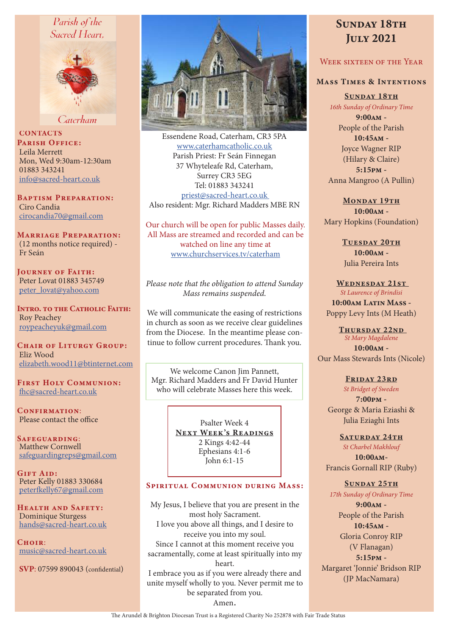# Parish of the Sacred Heart.



Caterham

**CONTACTS** PARISH OFFICE: Leila Merrett Mon, Wed 9:30am-12:30am 01883 343241 info@sacred-heart.co.uk

Baptism Preparation: Ciro Candia cirocandia70@gmail.com

Marriage Preparation: (12 months notice required) - Fr Seán

Journey of Faith: Peter Lovat 01883 345749 peter\_lovat@yahoo.com

Intro. to the Catholic Faith: Roy Peachey roypeacheyuk@gmail.com

CHAIR OF LITURGY GROUP: Eliz Wood elizabeth.wood11@btinternet.com

First Holy Communion: fhc@sacred-heart.co.uk

CONFIRMATION: Please contact the office

Safeguarding: Matthew Cornwell safeguardingreps@gmail.com

GIFT AID: Peter Kelly 01883 330684 peterfkelly67@gmail.com

HEALTH AND SAFETY: Dominique Sturgess hands@sacred-heart.co.uk

 $C$ HOIR: music@sacred-heart.co.uk

SVP: 07599 890043 (confidential)



Essendene Road, Caterham, CR3 5PA www.caterhamcatholic.co.uk Parish Priest: Fr Seán Finnegan 37 Whyteleafe Rd, Caterham, Surrey CR3 5EG Tel: 01883 343241 priest@sacred-heart.co.uk Also resident: Mgr. Richard Madders MBE RN

Our church will be open for public Masses daily. All Mass are streamed and recorded and can be watched on line any time at www.churchservices.tv/caterham

*Please note that the obligation to attend Sunday Mass remains suspended.*

We will communicate the easing of restrictions in church as soon as we receive clear guidelines from the Diocese. In the meantime please continue to follow current procedures. Thank you.

We welcome Canon Jim Pannett, Mgr. Richard Madders and Fr David Hunter who will celebrate Masses here this week.

> Psalter Week 4 NEXT WEEK'S READINGS 2 Kings 4:42-44 Ephesians 4:1-6 John 6:1-15

## SPIRITUAL COMMUNION DURING MASS:

My Jesus, I believe that you are present in the most holy Sacrament. I love you above all things, and I desire to receive you into my soul. Since I cannot at this moment receive you sacramentally, come at least spiritually into my heart. I embrace you as if you were already there and unite myself wholly to you. Never permit me to be separated from you. Amen.

# SUNDAY 18TH July 2021

# WEEK SIXTEEN OF THE YEAR

## Mass Times & Intentions

SUNDAY 18TH *16th Sunday of Ordinary Time*

9:00am - People of the Parish  $10:45$  $\Delta M -$ Joyce Wagner RIP (Hilary & Claire) 5:15pm - Anna Mangroo (A Pullin)

MONDAY 19TH 10:00am - Mary Hopkins (Foundation)

> TUESDAY 20TH 10:00am - Julia Pereira Ints

WEDNESDAY 21ST *St Laurence of Brindisi*

10:00am Latin Mass -Poppy Levy Ints (M Heath)

THURSDAY 22ND *St Mary Magdalene* 10:00am - Our Mass Stewards Ints (Nicole)

> FRIDAY 23RD *St Bridget of Sweden*

7:00pm - George & Maria Eziashi & Julia Eziaghi Ints

SATURDAY 24TH

*St Charbel Makhlouf* 10:00am-Francis Gornall RIP (Ruby)

# SUNDAY 25TH

*17th Sunday of Ordinary Time*

9:00am - People of the Parish 10:45am - Gloria Conroy RIP (V Flanagan)

5:15pm - Margaret 'Jonnie' Bridson RIP (JP MacNamara)